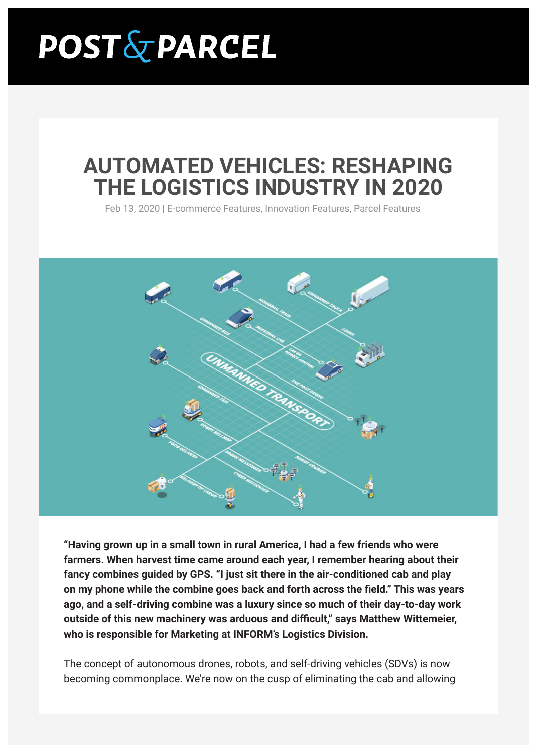# **POST & PARCEL**

# **AUTOMATED VEHICLES: RESHAPING THE LOGISTICS INDUSTRY IN 2020**

Feb 13, 2020 | E-commerce Features, Innovation Features, Parcel Features



**"Having grown up in a small town in rural America, I had a few friends who were farmers. When harvest time came around each year, I remember hearing about their fancy combines guided by GPS. "I just sit there in the air-conditioned cab and play on my phone while the combine goes back and forth across the field." This was years ago, and a self-driving combine was a luxury since so much of their day-to-day work outside of this new machinery was arduous and difficult," says Matthew Wittemeier, who is responsible for Marketing at INFORM's Logistics Division.**

The concept of autonomous drones, robots, and self-driving vehicles (SDVs) is now becoming commonplace. We're now on the cusp of eliminating the cab and allowing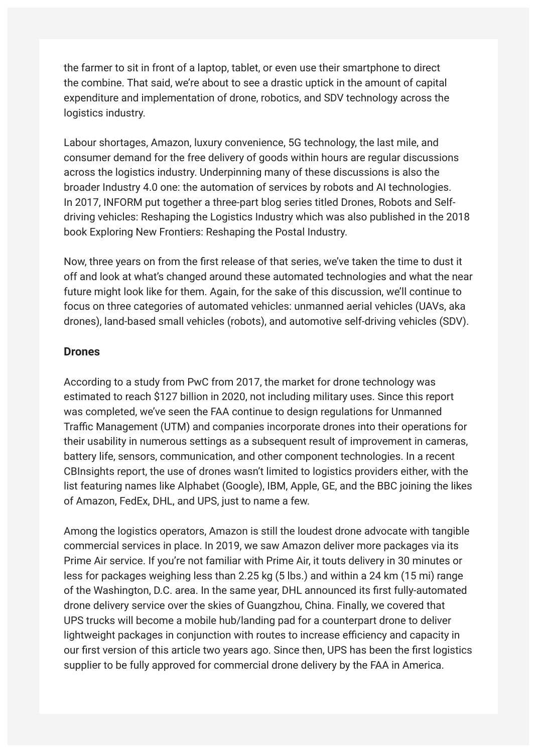the farmer to sit in front of a laptop, tablet, or even use their smartphone to direct the combine. That said, we're about to see a drastic uptick in the amount of capital expenditure and implementation of drone, robotics, and SDV technology across the logistics industry.

Labour shortages, Amazon, luxury convenience, 5G technology, the last mile, and consumer demand for the free delivery of goods within hours are regular discussions across the logistics industry. Underpinning many of these discussions is also the broader Industry 4.0 one: the automation of services by robots and AI technologies. In 2017, INFORM put together a three-part blog series titled Drones, Robots and Selfdriving vehicles: Reshaping the Logistics Industry which was also published in the 2018 book Exploring New Frontiers: Reshaping the Postal Industry.

Now, three years on from the first release of that series, we've taken the time to dust it off and look at what's changed around these automated technologies and what the near future might look like for them. Again, for the sake of this discussion, we'll continue to focus on three categories of automated vehicles: unmanned aerial vehicles (UAVs, aka drones), land-based small vehicles (robots), and automotive self-driving vehicles (SDV).

#### **Drones**

According to a study from PwC from 2017, the market for drone technology was estimated to reach \$127 billion in 2020, not including military uses. Since this report was completed, we've seen the FAA continue to design regulations for Unmanned Traffic Management (UTM) and companies incorporate drones into their operations for their usability in numerous settings as a subsequent result of improvement in cameras, battery life, sensors, communication, and other component technologies. In a recent CBInsights report, the use of drones wasn't limited to logistics providers either, with the list featuring names like Alphabet (Google), IBM, Apple, GE, and the BBC joining the likes of Amazon, FedEx, DHL, and UPS, just to name a few.

Among the logistics operators, Amazon is still the loudest drone advocate with tangible commercial services in place. In 2019, we saw Amazon deliver more packages via its Prime Air service. If you're not familiar with Prime Air, it touts delivery in 30 minutes or less for packages weighing less than 2.25 kg (5 lbs.) and within a 24 km (15 mi) range of the Washington, D.C. area. In the same year, DHL announced its first fully-automated drone delivery service over the skies of Guangzhou, China. Finally, we covered that UPS trucks will become a mobile hub/landing pad for a counterpart drone to deliver lightweight packages in conjunction with routes to increase efficiency and capacity in our first version of this article two years ago. Since then, UPS has been the first logistics supplier to be fully approved for commercial drone delivery by the FAA in America.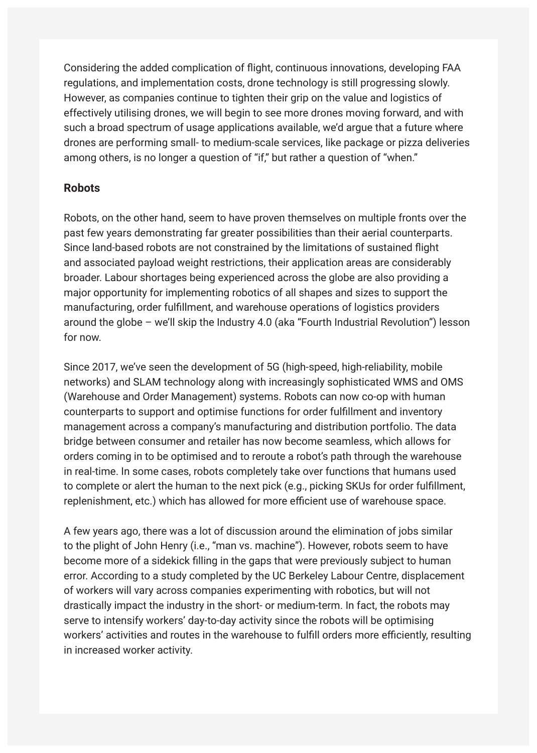Considering the added complication of flight, continuous innovations, developing FAA regulations, and implementation costs, drone technology is still progressing slowly. However, as companies continue to tighten their grip on the value and logistics of effectively utilising drones, we will begin to see more drones moving forward, and with such a broad spectrum of usage applications available, we'd argue that a future where drones are performing small- to medium-scale services, like package or pizza deliveries among others, is no longer a question of "if," but rather a question of "when."

# **Robots**

Robots, on the other hand, seem to have proven themselves on multiple fronts over the past few years demonstrating far greater possibilities than their aerial counterparts. Since land-based robots are not constrained by the limitations of sustained flight and associated payload weight restrictions, their application areas are considerably broader. Labour shortages being experienced across the globe are also providing a major opportunity for implementing robotics of all shapes and sizes to support the manufacturing, order fulfillment, and warehouse operations of logistics providers around the globe – we'll skip the Industry 4.0 (aka "Fourth Industrial Revolution") lesson for now.

Since 2017, we've seen the development of 5G (high-speed, high-reliability, mobile networks) and SLAM technology along with increasingly sophisticated WMS and OMS (Warehouse and Order Management) systems. Robots can now co-op with human counterparts to support and optimise functions for order fulfillment and inventory management across a company's manufacturing and distribution portfolio. The data bridge between consumer and retailer has now become seamless, which allows for orders coming in to be optimised and to reroute a robot's path through the warehouse in real-time. In some cases, robots completely take over functions that humans used to complete or alert the human to the next pick (e.g., picking SKUs for order fulfillment, replenishment, etc.) which has allowed for more efficient use of warehouse space.

A few years ago, there was a lot of discussion around the elimination of jobs similar to the plight of John Henry (i.e., "man vs. machine"). However, robots seem to have become more of a sidekick filling in the gaps that were previously subject to human error. According to a study completed by the UC Berkeley Labour Centre, displacement of workers will vary across companies experimenting with robotics, but will not drastically impact the industry in the short- or medium-term. In fact, the robots may serve to intensify workers' day-to-day activity since the robots will be optimising workers' activities and routes in the warehouse to fulfill orders more efficiently, resulting in increased worker activity.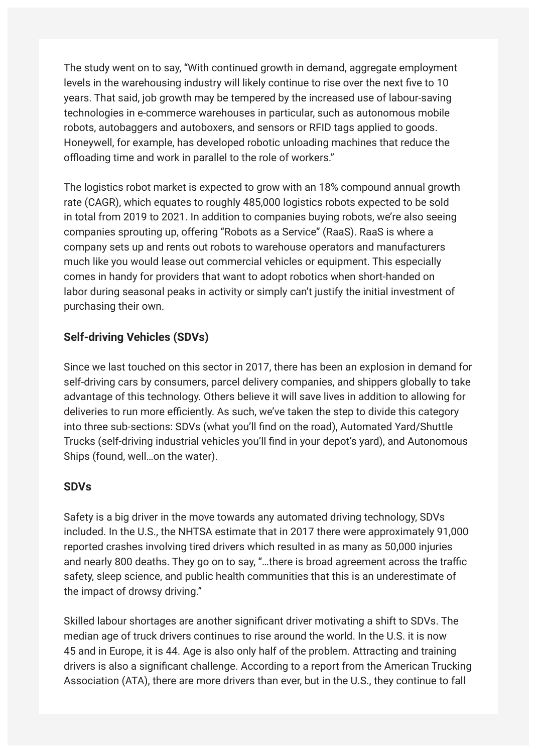The study went on to say, "With continued growth in demand, aggregate employment levels in the warehousing industry will likely continue to rise over the next five to 10 years. That said, job growth may be tempered by the increased use of labour-saving technologies in e-commerce warehouses in particular, such as autonomous mobile robots, autobaggers and autoboxers, and sensors or RFID tags applied to goods. Honeywell, for example, has developed robotic unloading machines that reduce the offloading time and work in parallel to the role of workers."

The logistics robot market is expected to grow with an 18% compound annual growth rate (CAGR), which equates to roughly 485,000 logistics robots expected to be sold in total from 2019 to 2021. In addition to companies buying robots, we're also seeing companies sprouting up, offering "Robots as a Service" (RaaS). RaaS is where a company sets up and rents out robots to warehouse operators and manufacturers much like you would lease out commercial vehicles or equipment. This especially comes in handy for providers that want to adopt robotics when short-handed on labor during seasonal peaks in activity or simply can't justify the initial investment of purchasing their own.

# **Self-driving Vehicles (SDVs)**

Since we last touched on this sector in 2017, there has been an explosion in demand for self-driving cars by consumers, parcel delivery companies, and shippers globally to take advantage of this technology. Others believe it will save lives in addition to allowing for deliveries to run more efficiently. As such, we've taken the step to divide this category into three sub-sections: SDVs (what you'll find on the road), Automated Yard/Shuttle Trucks (self-driving industrial vehicles you'll find in your depot's yard), and Autonomous Ships (found, well…on the water).

### **SDVs**

Safety is a big driver in the move towards any automated driving technology, SDVs included. In the U.S., the NHTSA estimate that in 2017 there were approximately 91,000 reported crashes involving tired drivers which resulted in as many as 50,000 injuries and nearly 800 deaths. They go on to say, "…there is broad agreement across the traffic safety, sleep science, and public health communities that this is an underestimate of the impact of drowsy driving."

Skilled labour shortages are another significant driver motivating a shift to SDVs. The median age of truck drivers continues to rise around the world. In the U.S. it is now 45 and in Europe, it is 44. Age is also only half of the problem. Attracting and training drivers is also a significant challenge. According to a report from the American Trucking Association (ATA), there are more drivers than ever, but in the U.S., they continue to fall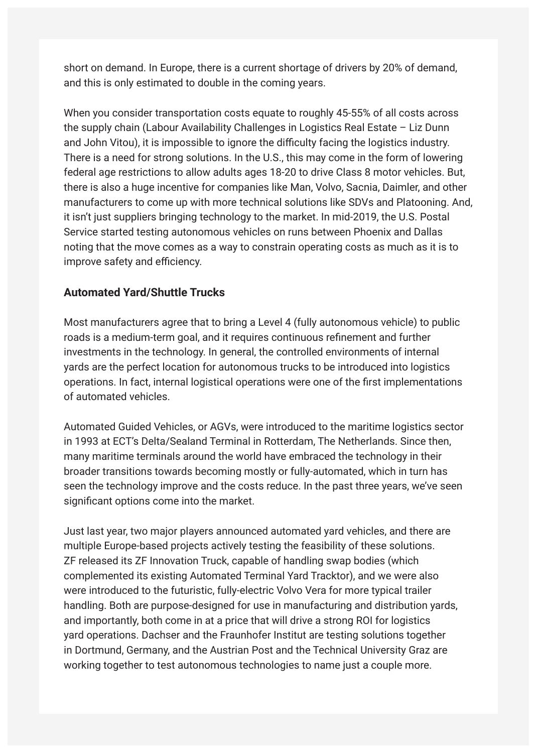short on demand. In Europe, there is a current shortage of drivers by 20% of demand, and this is only estimated to double in the coming years.

When you consider transportation costs equate to roughly 45-55% of all costs across the supply chain (Labour Availability Challenges in Logistics Real Estate – Liz Dunn and John Vitou), it is impossible to ignore the difficulty facing the logistics industry. There is a need for strong solutions. In the U.S., this may come in the form of lowering federal age restrictions to allow adults ages 18-20 to drive Class 8 motor vehicles. But, there is also a huge incentive for companies like Man, Volvo, Sacnia, Daimler, and other manufacturers to come up with more technical solutions like SDVs and Platooning. And, it isn't just suppliers bringing technology to the market. In mid-2019, the U.S. Postal Service started testing autonomous vehicles on runs between Phoenix and Dallas noting that the move comes as a way to constrain operating costs as much as it is to improve safety and efficiency.

# **Automated Yard/Shuttle Trucks**

Most manufacturers agree that to bring a Level 4 (fully autonomous vehicle) to public roads is a medium-term goal, and it requires continuous refinement and further investments in the technology. In general, the controlled environments of internal yards are the perfect location for autonomous trucks to be introduced into logistics operations. In fact, internal logistical operations were one of the first implementations of automated vehicles.

Automated Guided Vehicles, or AGVs, were introduced to the maritime logistics sector in 1993 at ECT's Delta/Sealand Terminal in Rotterdam, The Netherlands. Since then, many maritime terminals around the world have embraced the technology in their broader transitions towards becoming mostly or fully-automated, which in turn has seen the technology improve and the costs reduce. In the past three years, we've seen significant options come into the market.

Just last year, two major players announced automated yard vehicles, and there are multiple Europe-based projects actively testing the feasibility of these solutions. ZF released its ZF Innovation Truck, capable of handling swap bodies (which complemented its existing Automated Terminal Yard Tracktor), and we were also were introduced to the futuristic, fully-electric Volvo Vera for more typical trailer handling. Both are purpose-designed for use in manufacturing and distribution yards, and importantly, both come in at a price that will drive a strong ROI for logistics yard operations. Dachser and the Fraunhofer Institut are testing solutions together in Dortmund, Germany, and the Austrian Post and the Technical University Graz are working together to test autonomous technologies to name just a couple more.